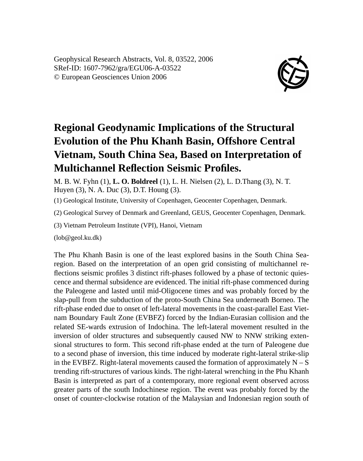Geophysical Research Abstracts, Vol. 8, 03522, 2006 SRef-ID: 1607-7962/gra/EGU06-A-03522 © European Geosciences Union 2006



## **Regional Geodynamic Implications of the Structural Evolution of the Phu Khanh Basin, Offshore Central Vietnam, South China Sea, Based on Interpretation of Multichannel Reflection Seismic Profiles.**

M. B. W. Fyhn (1), **L. O. Boldreel** (1), L. H. Nielsen (2), L. D.Thang (3), N. T. Huyen (3), N. A. Duc (3), D.T. Houng (3).

(1) Geological Institute, University of Copenhagen, Geocenter Copenhagen, Denmark.

(2) Geological Survey of Denmark and Greenland, GEUS, Geocenter Copenhagen, Denmark.

(3) Vietnam Petroleum Institute (VPI), Hanoi, Vietnam

(lob@geol.ku.dk)

The Phu Khanh Basin is one of the least explored basins in the South China Searegion. Based on the interpretation of an open grid consisting of multichannel reflections seismic profiles 3 distinct rift-phases followed by a phase of tectonic quiescence and thermal subsidence are evidenced. The initial rift-phase commenced during the Paleogene and lasted until mid-Oligocene times and was probably forced by the slap-pull from the subduction of the proto-South China Sea underneath Borneo. The rift-phase ended due to onset of left-lateral movements in the coast-parallel East Vietnam Boundary Fault Zone (EVBFZ) forced by the Indian-Eurasian collision and the related SE-wards extrusion of Indochina. The left-lateral movement resulted in the inversion of older structures and subsequently caused NW to NNW striking extensional structures to form. This second rift-phase ended at the turn of Paleogene due to a second phase of inversion, this time induced by moderate right-lateral strike-slip in the EVBFZ. Right-lateral movements caused the formation of approximately  $N-S$ trending rift-structures of various kinds. The right-lateral wrenching in the Phu Khanh Basin is interpreted as part of a contemporary, more regional event observed across greater parts of the south Indochinese region. The event was probably forced by the onset of counter-clockwise rotation of the Malaysian and Indonesian region south of